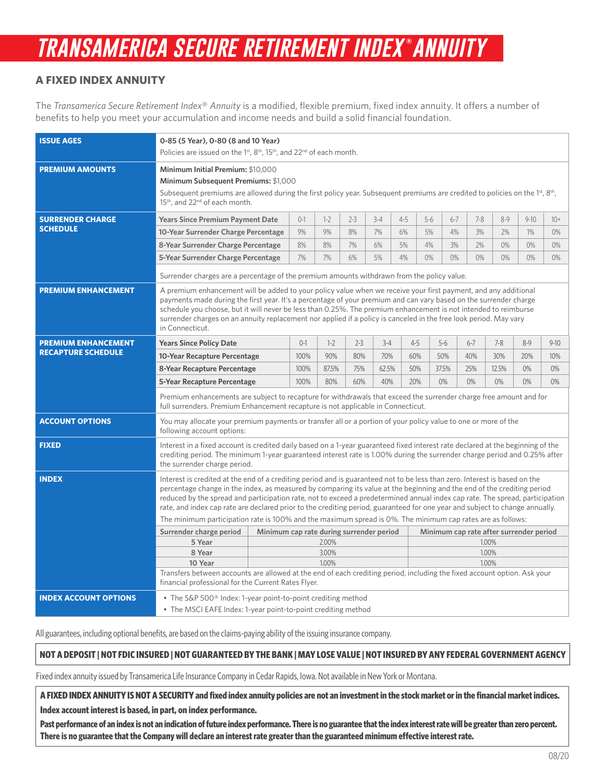# *transamerica secure retirement index* **®** *annuity*

## **A FIXED INDEX ANNUITY**

The *Transamerica Secure Retirement Index*® *Annuity* is a modified, flexible premium, fixed index annuity. It offers a number of benefits to help you meet your accumulation and income needs and build a solid financial foundation.

| <b>ISSUE AGES</b>                                       | 0-85 (5 Year), 0-80 (8 and 10 Year)<br>Policies are issued on the 1 <sup>st</sup> , 8 <sup>th</sup> , 15 <sup>th</sup> , and 22 <sup>nd</sup> of each month.                                                                                                                                                                                                                                                                                                                                                                                                                                                                                                                                                                                          |                         |         |       |         |         |                |         |         |         |         |          |        |
|---------------------------------------------------------|-------------------------------------------------------------------------------------------------------------------------------------------------------------------------------------------------------------------------------------------------------------------------------------------------------------------------------------------------------------------------------------------------------------------------------------------------------------------------------------------------------------------------------------------------------------------------------------------------------------------------------------------------------------------------------------------------------------------------------------------------------|-------------------------|---------|-------|---------|---------|----------------|---------|---------|---------|---------|----------|--------|
| <b>PREMIUM AMOUNTS</b>                                  | Minimum Initial Premium: \$10,000                                                                                                                                                                                                                                                                                                                                                                                                                                                                                                                                                                                                                                                                                                                     |                         |         |       |         |         |                |         |         |         |         |          |        |
|                                                         | Minimum Subsequent Premiums: \$1,000                                                                                                                                                                                                                                                                                                                                                                                                                                                                                                                                                                                                                                                                                                                  |                         |         |       |         |         |                |         |         |         |         |          |        |
|                                                         | Subsequent premiums are allowed during the first policy year. Subsequent premiums are credited to policies on the 1st, 8th,<br>15 <sup>th</sup> , and 22 <sup>nd</sup> of each month.                                                                                                                                                                                                                                                                                                                                                                                                                                                                                                                                                                 |                         |         |       |         |         |                |         |         |         |         |          |        |
| <b>SURRENDER CHARGE</b><br><b>SCHEDULE</b>              | <b>Years Since Premium Payment Date</b>                                                                                                                                                                                                                                                                                                                                                                                                                                                                                                                                                                                                                                                                                                               |                         | $0 - 1$ | $1-2$ | $2 - 3$ | $3 - 4$ | $4 - 5$        | $5 - 6$ | $6 - 7$ | $7 - 8$ | $8 - 9$ | $9 - 10$ | $10+$  |
|                                                         | 10-Year Surrender Charge Percentage                                                                                                                                                                                                                                                                                                                                                                                                                                                                                                                                                                                                                                                                                                                   |                         | 9%      | 9%    | 8%      | 7%      | 6%             | 5%      | 4%      | 3%      | 2%      | $1\%$    | $0\%$  |
|                                                         | 8-Year Surrender Charge Percentage                                                                                                                                                                                                                                                                                                                                                                                                                                                                                                                                                                                                                                                                                                                    |                         | 8%      | 8%    | 7%      | 6%      | 5%             | 4%      | 3%      | 2%      | $0\%$   | 0%       | $0\%$  |
|                                                         | 5-Year Surrender Charge Percentage                                                                                                                                                                                                                                                                                                                                                                                                                                                                                                                                                                                                                                                                                                                    |                         | 7%      | 7%    | 6%      | 5%      | 4%             | $0\%$   | $0\%$   | $0\%$   | 0%      | 0%       | $0\%$  |
|                                                         | Surrender charges are a percentage of the premium amounts withdrawn from the policy value.                                                                                                                                                                                                                                                                                                                                                                                                                                                                                                                                                                                                                                                            |                         |         |       |         |         |                |         |         |         |         |          |        |
| <b>PREMIUM ENHANCEMENT</b>                              | A premium enhancement will be added to your policy value when we receive your first payment, and any additional<br>payments made during the first year. It's a percentage of your premium and can vary based on the surrender charge<br>schedule you choose, but it will never be less than 0.25%. The premium enhancement is not intended to reimburse<br>surrender charges on an annuity replacement nor applied if a policy is canceled in the free look period. May vary<br>in Connecticut.                                                                                                                                                                                                                                                       |                         |         |       |         |         |                |         |         |         |         |          |        |
| <b>PREMIUM ENHANCEMENT</b><br><b>RECAPTURE SCHEDULE</b> | <b>Years Since Policy Date</b>                                                                                                                                                                                                                                                                                                                                                                                                                                                                                                                                                                                                                                                                                                                        |                         | $0 - 1$ | $1-2$ | $2 - 3$ | $3 - 4$ | $4 - 5$        | $5-6$   |         | $6 - 7$ | $7 - 8$ | $8 - 9$  | $9-10$ |
|                                                         | 10-Year Recapture Percentage                                                                                                                                                                                                                                                                                                                                                                                                                                                                                                                                                                                                                                                                                                                          |                         | 100%    | 90%   | 80%     | 70%     | 60%            | 50%     |         | 40%     | 30%     | 20%      | 10%    |
|                                                         | 8-Year Recapture Percentage                                                                                                                                                                                                                                                                                                                                                                                                                                                                                                                                                                                                                                                                                                                           |                         | 100%    | 87.5% | 75%     | 62.5%   | 50%            | 37.5%   |         | 25%     | 12.5%   | $0\%$    | 0%     |
|                                                         | 5-Year Recapture Percentage                                                                                                                                                                                                                                                                                                                                                                                                                                                                                                                                                                                                                                                                                                                           |                         | 100%    | 80%   | 60%     | 40%     | 20%            | $0\%$   |         | 0%      | 0%      | 0%       | $0\%$  |
|                                                         | Premium enhancements are subject to recapture for withdrawals that exceed the surrender charge free amount and for<br>full surrenders. Premium Enhancement recapture is not applicable in Connecticut.                                                                                                                                                                                                                                                                                                                                                                                                                                                                                                                                                |                         |         |       |         |         |                |         |         |         |         |          |        |
| <b>ACCOUNT OPTIONS</b>                                  | You may allocate your premium payments or transfer all or a portion of your policy value to one or more of the<br>following account options:                                                                                                                                                                                                                                                                                                                                                                                                                                                                                                                                                                                                          |                         |         |       |         |         |                |         |         |         |         |          |        |
| <b>FIXED</b>                                            | Interest in a fixed account is credited daily based on a 1-year guaranteed fixed interest rate declared at the beginning of the<br>crediting period. The minimum 1-year guaranteed interest rate is 1.00% during the surrender charge period and 0.25% after<br>the surrender charge period.                                                                                                                                                                                                                                                                                                                                                                                                                                                          |                         |         |       |         |         |                |         |         |         |         |          |        |
| <b>INDEX</b>                                            | Interest is credited at the end of a crediting period and is guaranteed not to be less than zero. Interest is based on the<br>percentage change in the index, as measured by comparing its value at the beginning and the end of the crediting period<br>reduced by the spread and participation rate, not to exceed a predetermined annual index cap rate. The spread, participation<br>rate, and index cap rate are declared prior to the crediting period, guaranteed for one year and subject to change annually.<br>The minimum participation rate is 100% and the maximum spread is 0%. The minimum cap rates are as follows:<br>Minimum cap rate during surrender period<br>Surrender charge period<br>Minimum cap rate after surrender period |                         |         |       |         |         |                |         |         |         |         |          |        |
|                                                         |                                                                                                                                                                                                                                                                                                                                                                                                                                                                                                                                                                                                                                                                                                                                                       |                         |         |       |         |         |                |         |         |         |         |          |        |
|                                                         | 5 Year                                                                                                                                                                                                                                                                                                                                                                                                                                                                                                                                                                                                                                                                                                                                                | 2.00%<br>3.00%<br>1.00% |         |       |         |         | 1.00%          |         |         |         |         |          |        |
|                                                         | 8 Year                                                                                                                                                                                                                                                                                                                                                                                                                                                                                                                                                                                                                                                                                                                                                |                         |         |       |         |         | 1.00%<br>1.00% |         |         |         |         |          |        |
|                                                         | 10 Year<br>Transfers between accounts are allowed at the end of each crediting period, including the fixed account option. Ask your<br>financial professional for the Current Rates Flyer.                                                                                                                                                                                                                                                                                                                                                                                                                                                                                                                                                            |                         |         |       |         |         |                |         |         |         |         |          |        |
| <b>INDEX ACCOUNT OPTIONS</b>                            | • The S&P 500 <sup>®</sup> Index: 1-year point-to-point crediting method<br>• The MSCI EAFE Index: 1-year point-to-point crediting method                                                                                                                                                                                                                                                                                                                                                                                                                                                                                                                                                                                                             |                         |         |       |         |         |                |         |         |         |         |          |        |

All guarantees, including optional benefits, are based on the claims-paying ability of the issuing insurance company.

### **NOT A DEPOSIT | NOT FDIC INSURED | NOT GUARANTEED BY THE BANK | MAY LOSE VALUE | NOT INSURED BY ANY FEDERAL GOVERNMENT AGENCY**

Fixed index annuity issued by Transamerica Life Insurance Company in Cedar Rapids, Iowa. Not available in New York or Montana.

**A FIXED INDEX ANNUITY IS NOT A SECURITY and fixed index annuity policies are not an investment in the stock market or in the financial market indices. Index account interest is based, in part, on index performance.**

Past performance of an index is not an indication of future index performance. There is no guarantee that the index interest rate will be greater than zero percent. **There is no guarantee that the Company will declare an interest rate greater than the guaranteed minimum effective interest rate.**